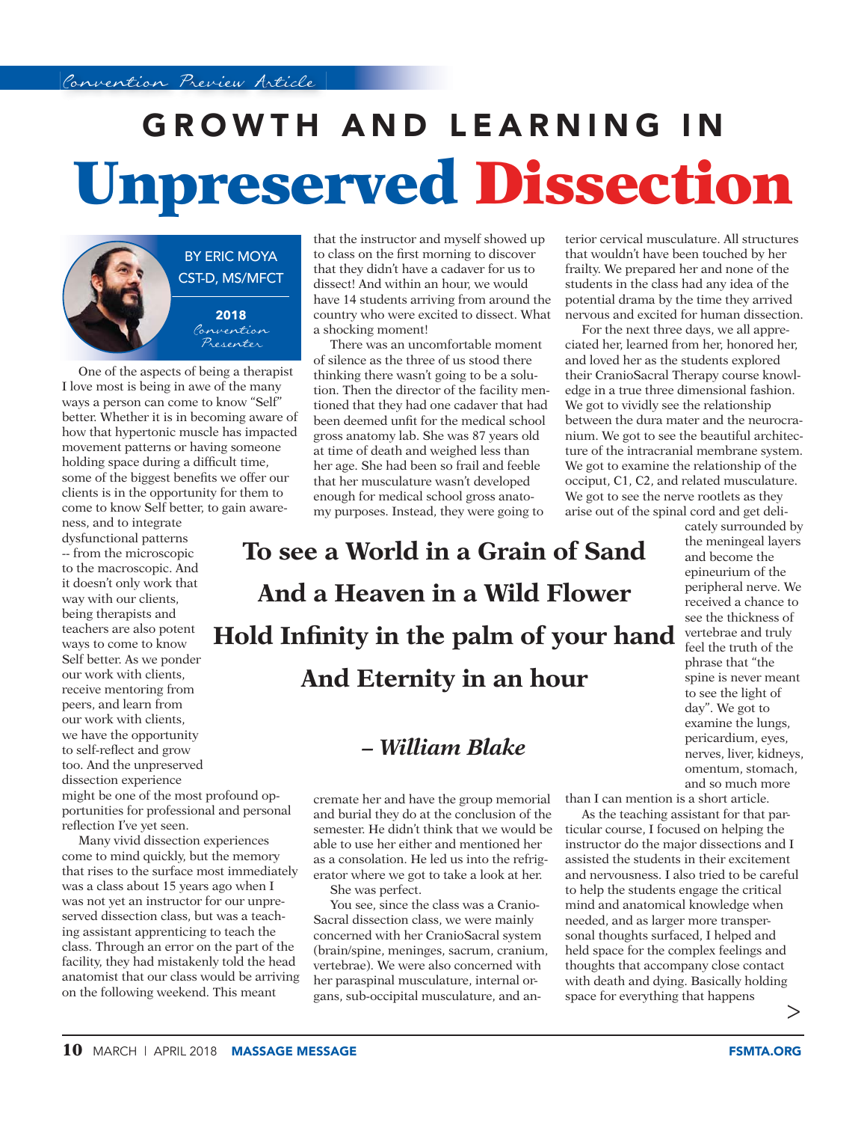## **GROWTH AND LEARNING IN Unpreserved Dissection**



One of the aspects of being a therapist I love most is being in awe of the many ways a person can come to know "Self" better. Whether it is in becoming aware of how that hypertonic muscle has impacted movement patterns or having someone holding space during a difficult time, some of the biggest benefits we offer our clients is in the opportunity for them to come to know Self better, to gain aware-

ness, and to integrate dysfunctional patterns -- from the microscopic to the macroscopic. And it doesn't only work that way with our clients, being therapists and teachers are also potent ways to come to know Self better. As we ponder our work with clients, receive mentoring from peers, and learn from our work with clients, we have the opportunity to self-reflect and grow too. And the unpreserved dissection experience might be one of the most profound opportunities for professional and personal reflection I've yet seen.

Many vivid dissection experiences come to mind quickly, but the memory that rises to the surface most immediately was a class about 15 years ago when I was not yet an instructor for our unpreserved dissection class, but was a teaching assistant apprenticing to teach the class. Through an error on the part of the facility, they had mistakenly told the head anatomist that our class would be arriving on the following weekend. This meant

that the instructor and myself showed up to class on the first morning to discover that they didn't have a cadaver for us to dissect! And within an hour, we would have 14 students arriving from around the country who were excited to dissect. What a shocking moment!

There was an uncomfortable moment of silence as the three of us stood there thinking there wasn't going to be a solution. Then the director of the facility mentioned that they had one cadaver that had been deemed unfit for the medical school gross anatomy lab. She was 87 years old at time of death and weighed less than her age. She had been so frail and feeble that her musculature wasn't developed enough for medical school gross anatomy purposes. Instead, they were going to

## **To see a World in a Grain of Sand And a Heaven in a Wild Flower Hold Infinity in the palm of your hand And Eternity in an hour**

## *– William Blake*

cremate her and have the group memorial and burial they do at the conclusion of the semester. He didn't think that we would be able to use her either and mentioned her as a consolation. He led us into the refrigerator where we got to take a look at her.

She was perfect.

You see, since the class was a Cranio-Sacral dissection class, we were mainly concerned with her CranioSacral system (brain/spine, meninges, sacrum, cranium, vertebrae). We were also concerned with her paraspinal musculature, internal organs, sub-occipital musculature, and an-

terior cervical musculature. All structures that wouldn't have been touched by her frailty. We prepared her and none of the students in the class had any idea of the potential drama by the time they arrived nervous and excited for human dissection.

For the next three days, we all appreciated her, learned from her, honored her, and loved her as the students explored their CranioSacral Therapy course knowledge in a true three dimensional fashion. We got to vividly see the relationship between the dura mater and the neurocranium. We got to see the beautiful architecture of the intracranial membrane system. We got to examine the relationship of the occiput, C1, C2, and related musculature. We got to see the nerve rootlets as they arise out of the spinal cord and get deli-

> cately surrounded by the meningeal layers and become the epineurium of the peripheral nerve. We received a chance to see the thickness of vertebrae and truly feel the truth of the phrase that "the spine is never meant to see the light of day". We got to examine the lungs, pericardium, eyes, nerves, liver, kidneys, omentum, stomach, and so much more

than I can mention is a short article.

As the teaching assistant for that particular course, I focused on helping the instructor do the major dissections and I assisted the students in their excitement and nervousness. I also tried to be careful to help the students engage the critical mind and anatomical knowledge when needed, and as larger more transpersonal thoughts surfaced, I helped and held space for the complex feelings and thoughts that accompany close contact with death and dying. Basically holding space for everything that happens

>